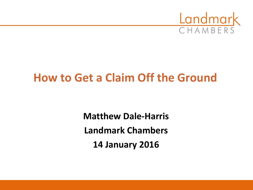

## **How to Get a Claim Off the Ground**

**Matthew Dale-Harris Landmark Chambers 14 January 2016**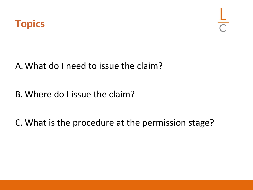

A.What do I need to issue the claim?

## B. Where do I issue the claim?

C. What is the procedure at the permission stage?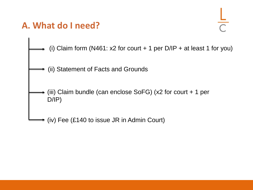#### **A. What do I need?**

- (i) Claim form (N461: x2 for court  $+$  1 per D/IP  $+$  at least 1 for you)
- (ii) Statement of Facts and Grounds
- (iii) Claim bundle (can enclose SoFG) (x2 for court + 1 per D/IP)
	- (iv) Fee (£140 to issue JR in Admin Court)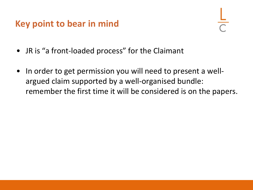#### **Key point to bear in mind**

- JR is "a front-loaded process" for the Claimant
- In order to get permission you will need to present a wellargued claim supported by a well-organised bundle: remember the first time it will be considered is on the papers.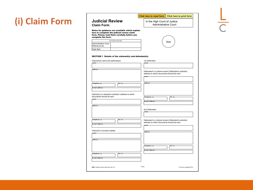## (i) Claim Form

|                                                                                                                                                                  |                                                       | Click here to reset form   Click here to print form                                                        |
|------------------------------------------------------------------------------------------------------------------------------------------------------------------|-------------------------------------------------------|------------------------------------------------------------------------------------------------------------|
| <b>Judicial Review</b><br><b>Claim Form</b>                                                                                                                      |                                                       | In the High Court of Justice<br>Administrative Court                                                       |
| Notes for guidance are available which explain<br>how to complete the judicial review claim<br>form. Please read them carefully before you<br>complete the form. |                                                       |                                                                                                            |
| Administrative Court<br>Reference No.                                                                                                                            | For Court use only                                    | Seal                                                                                                       |
| Date filed                                                                                                                                                       | SECTION 1 Details of the claimant(s) and defendant(s) |                                                                                                            |
| Claimant(s) name and address(es)<br>name-                                                                                                                        |                                                       | 1st Defendant<br>name                                                                                      |
| address-                                                                                                                                                         |                                                       | Defendant's or (where known) Defendant's solicitors'<br>address to which documents should be sent.         |
| Telephone no.<br><b>E-mail address</b>                                                                                                                           | Fax no.                                               | address                                                                                                    |
| Claimant's or claimant's solicitors' address to which<br>documents should be sent.<br>name<br>address                                                            |                                                       | Telephone no.<br>Fax no.<br><b>E-mail address</b>                                                          |
|                                                                                                                                                                  |                                                       | 2nd Defendant<br>name                                                                                      |
| Telephone no.<br>E-mail address                                                                                                                                  | Fax no.                                               | Defendant's or (where known) Defendant's solicitors'<br>address to which documents should be sent.<br>name |
| Claimant's Counsel's details<br>name                                                                                                                             |                                                       | address-                                                                                                   |
| address                                                                                                                                                          |                                                       | Telephone no.<br>Fax no.                                                                                   |
| Telephone no.                                                                                                                                                    | Fax no.                                               | E-mail address-                                                                                            |
| E-mail address-                                                                                                                                                  |                                                       |                                                                                                            |
| N461 Judicial review claim form (04.13)                                                                                                                          |                                                       | $1$ of $6$<br>C Crown copyright 2013                                                                       |

## $\frac{L}{C}$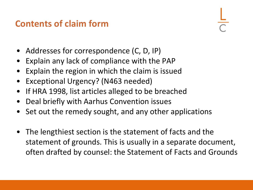## **Contents of claim form**

- Addresses for correspondence (C, D, IP)
- Explain any lack of compliance with the PAP
- Explain the region in which the claim is issued
- Exceptional Urgency? (N463 needed)
- If HRA 1998, list articles alleged to be breached
- Deal briefly with Aarhus Convention issues
- Set out the remedy sought, and any other applications
- The lengthiest section is the statement of facts and the statement of grounds. This is usually in a separate document, often drafted by counsel: the Statement of Facts and Grounds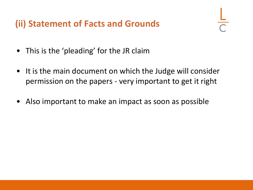## **(ii) Statement of Facts and Grounds**

- This is the 'pleading' for the JR claim
- It is the main document on which the Judge will consider permission on the papers - very important to get it right
- Also important to make an impact as soon as possible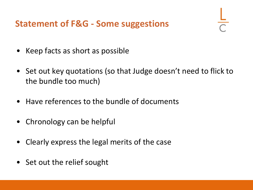## **Statement of F&G - Some suggestions**

- Keep facts as short as possible
- Set out key quotations (so that Judge doesn't need to flick to the bundle too much)
- Have references to the bundle of documents
- Chronology can be helpful
- Clearly express the legal merits of the case
- Set out the relief sought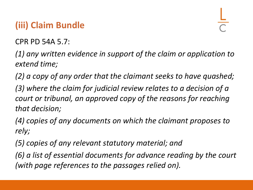## **(iii) Claim Bundle**

CPR PD 54A 5.7:

*(1) any written evidence in support of the claim or application to extend time;*

*(2) a copy of any order that the claimant seeks to have quashed;*

*(3) where the claim for judicial review relates to a decision of a court or tribunal, an approved copy of the reasons for reaching that decision;*

*(4) copies of any documents on which the claimant proposes to rely;*

*(5) copies of any relevant statutory material; and*

*(6) a list of essential documents for advance reading by the court (with page references to the passages relied on).*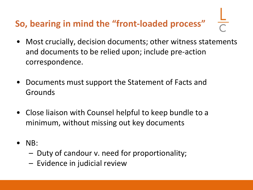## **So, bearing in mind the "front-loaded process"**

- Most crucially, decision documents; other witness statements and documents to be relied upon; include pre-action correspondence.
- Documents must support the Statement of Facts and Grounds
- Close liaison with Counsel helpful to keep bundle to a minimum, without missing out key documents
- NB:
	- Duty of candour v. need for proportionality;
	- Evidence in judicial review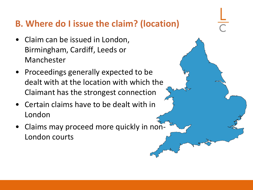## **B. Where do I issue the claim? (location)**

- Claim can be issued in London, Birmingham, Cardiff, Leeds or Manchester
- Proceedings generally expected to be dealt with at the location with which the Claimant has the strongest connection
- Certain claims have to be dealt with in London
- Claims may proceed more quickly in non-London courts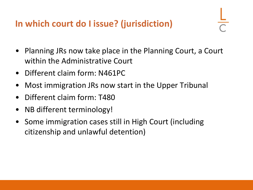## **In which court do I issue? (jurisdiction)**

- Planning JRs now take place in the Planning Court, a Court within the Administrative Court
- Different claim form: N461PC
- Most immigration JRs now start in the Upper Tribunal
- Different claim form: T480
- NB different terminology!
- Some immigration cases still in High Court (including citizenship and unlawful detention)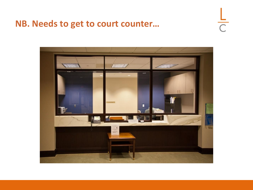#### NB. Needs to get to court counter...



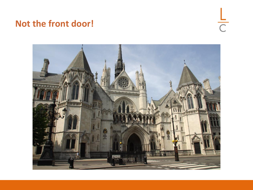#### **Not the front door!**

 $\frac{1}{C}$ 

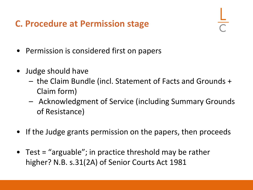## **C. Procedure at Permission stage**

- Permission is considered first on papers
- Judge should have
	- the Claim Bundle (incl. Statement of Facts and Grounds + Claim form)
	- Acknowledgment of Service (including Summary Grounds of Resistance)
- If the Judge grants permission on the papers, then proceeds
- Test = "arguable"; in practice threshold may be rather higher? N.B. s.31(2A) of Senior Courts Act 1981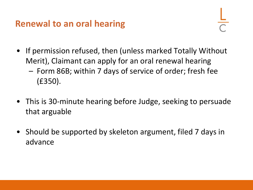## **Renewal to an oral hearing**

- If permission refused, then (unless marked Totally Without Merit), Claimant can apply for an oral renewal hearing
	- Form 86B; within 7 days of service of order; fresh fee (£350).
- This is 30-minute hearing before Judge, seeking to persuade that arguable
- Should be supported by skeleton argument, filed 7 days in advance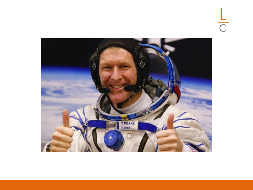# $\overline{C}$